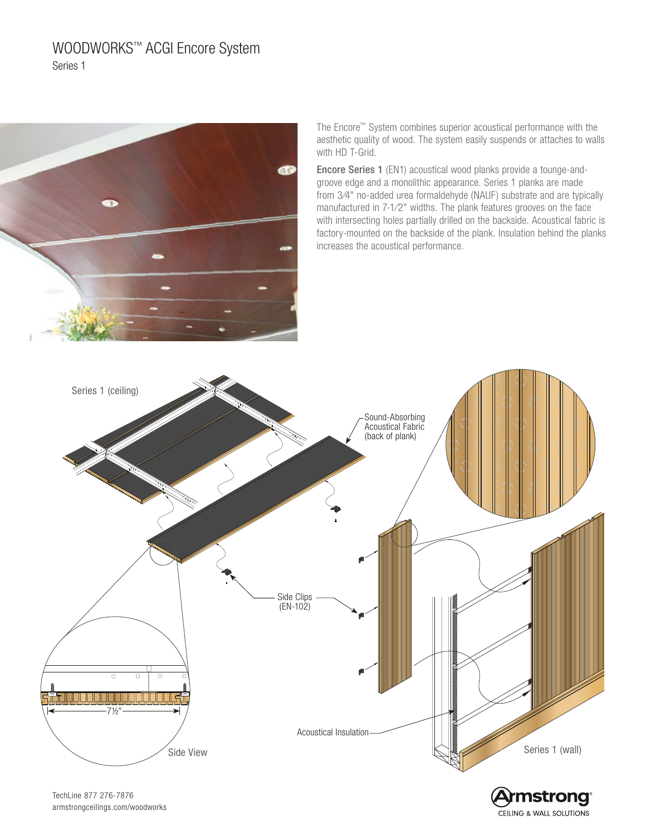# WOODWORKS™ ACGI Encore System Series 1



The Encore™ System combines superior acoustical performance with the aesthetic quality of wood. The system easily suspends or attaches to walls with HD T-Grid.

Encore Series 1 (EN1) acoustical wood planks provide a tounge-andgroove edge and a monolithic appearance. Series 1 planks are made from 3⁄4" no-added urea formaldehyde (NAUF) substrate and are typically manufactured in 7-1⁄2" widths. The plank features grooves on the face with intersecting holes partially drilled on the backside. Acoustical fabric is factory-mounted on the backside of the plank. Insulation behind the planks increases the acoustical performance.

**CEILING & WALL SOLUTIONS** 



TechLine 877 276-7876 armstrongceilings.com/woodworks